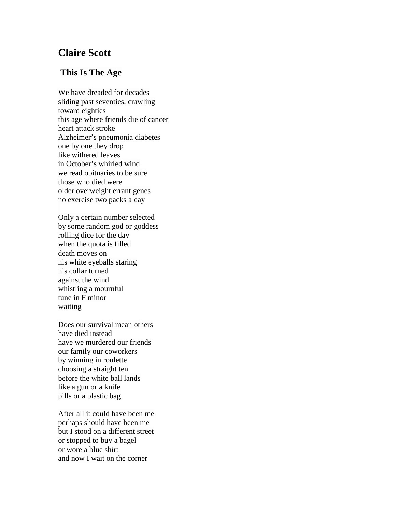## **Claire Scott**

## **This Is The Age**

We have dreaded for decades sliding past seventies, crawling toward eighties this age where friends die of cancer heart attack stroke Alzheimer's pneumonia diabetes one by one they drop like withered leaves in October's whirled wind we read obituaries to be sure those who died were older overweight errant genes no exercise two packs a day

Only a certain number selected by some random god or goddess rolling dice for the day when the quota is filled death moves on his white eyeballs staring his collar turned against the wind whistling a mournful tune in F minor waiting

Does our survival mean others have died instead have we murdered our friends our family our coworkers by winning in roulette choosing a straight ten before the white ball lands like a gun or a knife pills or a plastic bag

After all it could have been me perhaps should have been me but I stood on a different street or stopped to buy a bagel or wore a blue shirt and now I wait on the corner